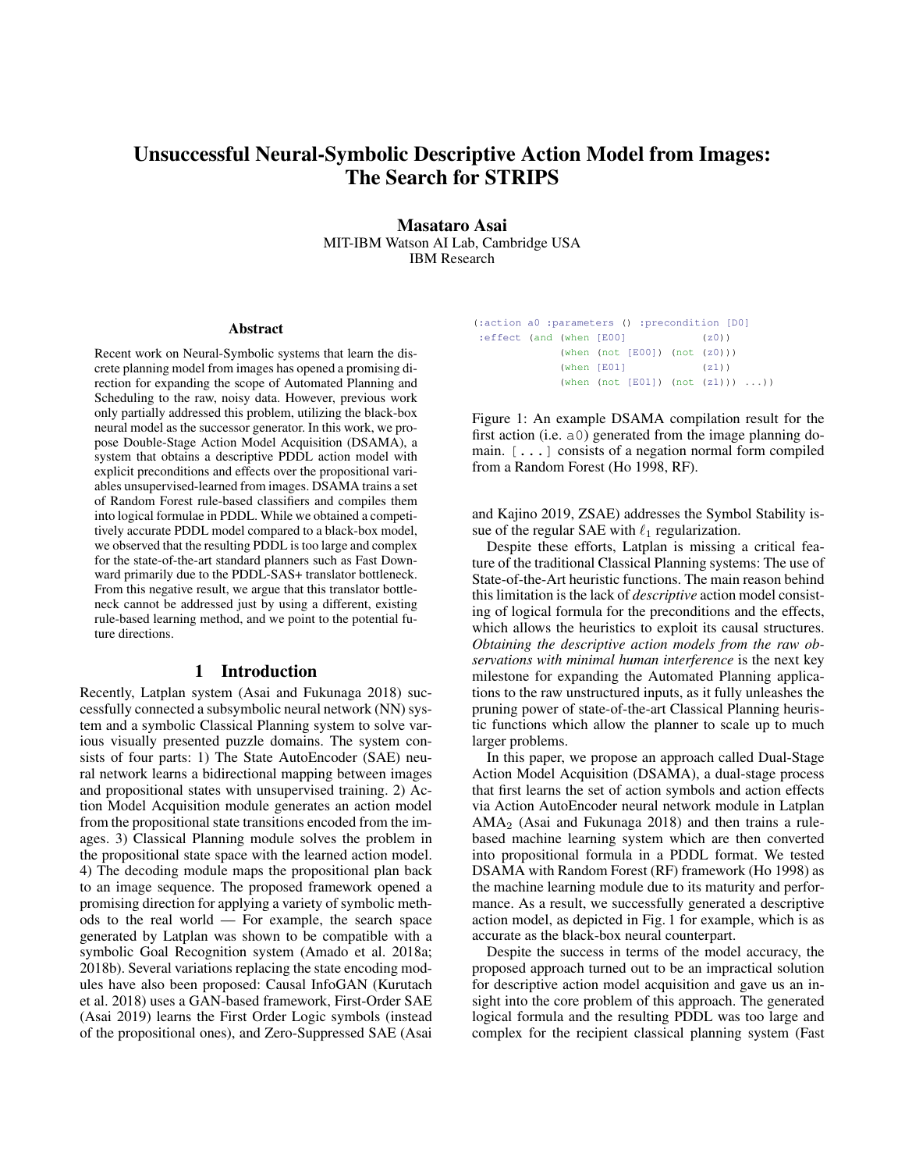# Unsuccessful Neural-Symbolic Descriptive Action Model from Images: The Search for STRIPS

Masataro Asai MIT-IBM Watson AI Lab, Cambridge USA IBM Research

#### Abstract

Recent work on Neural-Symbolic systems that learn the discrete planning model from images has opened a promising direction for expanding the scope of Automated Planning and Scheduling to the raw, noisy data. However, previous work only partially addressed this problem, utilizing the black-box neural model as the successor generator. In this work, we propose Double-Stage Action Model Acquisition (DSAMA), a system that obtains a descriptive PDDL action model with explicit preconditions and effects over the propositional variables unsupervised-learned from images. DSAMA trains a set of Random Forest rule-based classifiers and compiles them into logical formulae in PDDL. While we obtained a competitively accurate PDDL model compared to a black-box model, we observed that the resulting PDDL is too large and complex for the state-of-the-art standard planners such as Fast Downward primarily due to the PDDL-SAS+ translator bottleneck. From this negative result, we argue that this translator bottleneck cannot be addressed just by using a different, existing rule-based learning method, and we point to the potential future directions.

## 1 Introduction

Recently, Latplan system (Asai and Fukunaga 2018) successfully connected a subsymbolic neural network (NN) system and a symbolic Classical Planning system to solve various visually presented puzzle domains. The system consists of four parts: 1) The State AutoEncoder (SAE) neural network learns a bidirectional mapping between images and propositional states with unsupervised training. 2) Action Model Acquisition module generates an action model from the propositional state transitions encoded from the images. 3) Classical Planning module solves the problem in the propositional state space with the learned action model. 4) The decoding module maps the propositional plan back to an image sequence. The proposed framework opened a promising direction for applying a variety of symbolic methods to the real world — For example, the search space generated by Latplan was shown to be compatible with a symbolic Goal Recognition system (Amado et al. 2018a; 2018b). Several variations replacing the state encoding modules have also been proposed: Causal InfoGAN (Kurutach et al. 2018) uses a GAN-based framework, First-Order SAE (Asai 2019) learns the First Order Logic symbols (instead of the propositional ones), and Zero-Suppressed SAE (Asai

| (:action a0 :parameters () :precondition [D0] |               |                                                                    |      |  |
|-----------------------------------------------|---------------|--------------------------------------------------------------------|------|--|
| :effect (and (when [E00]                      |               |                                                                    | (20) |  |
|                                               |               | (when $(not [E00]) (not (z0))$ )                                   |      |  |
|                                               | (when $[E01]$ |                                                                    | (z1) |  |
|                                               |               | (when $(\text{not } [\text{E01}])$ $(\text{not } (\text{z1})))$ )) |      |  |

Figure 1: An example DSAMA compilation result for the first action (i.e. a0) generated from the image planning domain. [...] consists of a negation normal form compiled from a Random Forest (Ho 1998, RF).

and Kajino 2019, ZSAE) addresses the Symbol Stability issue of the regular SAE with  $\ell_1$  regularization.

Despite these efforts, Latplan is missing a critical feature of the traditional Classical Planning systems: The use of State-of-the-Art heuristic functions. The main reason behind this limitation is the lack of *descriptive* action model consisting of logical formula for the preconditions and the effects, which allows the heuristics to exploit its causal structures. *Obtaining the descriptive action models from the raw observations with minimal human interference* is the next key milestone for expanding the Automated Planning applications to the raw unstructured inputs, as it fully unleashes the pruning power of state-of-the-art Classical Planning heuristic functions which allow the planner to scale up to much larger problems.

In this paper, we propose an approach called Dual-Stage Action Model Acquisition (DSAMA), a dual-stage process that first learns the set of action symbols and action effects via Action AutoEncoder neural network module in Latplan  $AMA<sub>2</sub>$  (Asai and Fukunaga 2018) and then trains a rulebased machine learning system which are then converted into propositional formula in a PDDL format. We tested DSAMA with Random Forest (RF) framework (Ho 1998) as the machine learning module due to its maturity and performance. As a result, we successfully generated a descriptive action model, as depicted in Fig. 1 for example, which is as accurate as the black-box neural counterpart.

Despite the success in terms of the model accuracy, the proposed approach turned out to be an impractical solution for descriptive action model acquisition and gave us an insight into the core problem of this approach. The generated logical formula and the resulting PDDL was too large and complex for the recipient classical planning system (Fast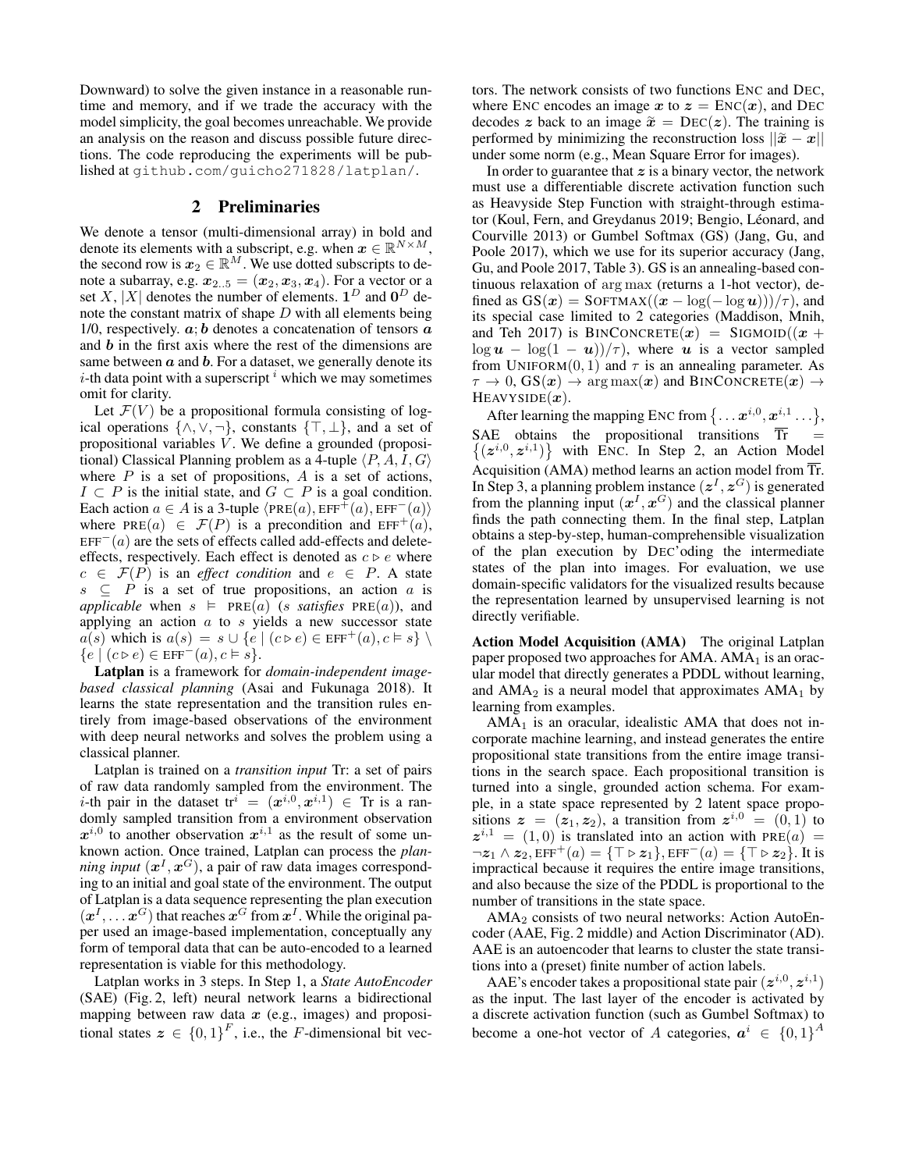Downward) to solve the given instance in a reasonable runtime and memory, and if we trade the accuracy with the model simplicity, the goal becomes unreachable. We provide an analysis on the reason and discuss possible future directions. The code reproducing the experiments will be published at github.com/guicho271828/latplan/.

## 2 Preliminaries

We denote a tensor (multi-dimensional array) in bold and denote its elements with a subscript, e.g. when  $\mathbf{x} \in \mathbb{R}^{N \times M}$ , the second row is  $x_2 \in \mathbb{R}^M$ . We use dotted subscripts to denote a subarray, e.g.  $x_{2..5} = (x_2, x_3, x_4)$ . For a vector or a set X, |X| denotes the number of elements.  $1^D$  and  $0^D$  denote the constant matrix of shape  $D$  with all elements being 1/0, respectively.  $a$ ;  $b$  denotes a concatenation of tensors  $a$ and b in the first axis where the rest of the dimensions are same between  $\alpha$  and  $\beta$ . For a dataset, we generally denote its  $i$ -th data point with a superscript  $i$  which we may sometimes omit for clarity.

Let  $\mathcal{F}(V)$  be a propositional formula consisting of logical operations  $\{\wedge, \vee, \neg\}$ , constants  $\{\top, \bot\}$ , and a set of propositional variables  $\hat{V}$ . We define a grounded (propositional) Classical Planning problem as a 4-tuple  $\langle P, A, I, G \rangle$ where  $P$  is a set of propositions,  $A$  is a set of actions,  $I \subset P$  is the initial state, and  $G \subset P$  is a goal condition. Each action  $a \in A$  is a 3-tuple  $\langle PRE(a), EFF^+(a), EFF^-(a)\rangle$ where PRE(a)  $\in \mathcal{F}(P)$  is a precondition and EFF<sup>+</sup>(a),  $EFF^{-}(a)$  are the sets of effects called add-effects and deleteeffects, respectively. Each effect is denoted as  $c \triangleright e$  where  $c \in \mathcal{F}(P)$  is an *effect condition* and  $e \in P$ . A state  $s \subseteq P$  is a set of true propositions, an action a is *applicable* when  $s \models \text{PRE}(a)$  (*s satisfies*  $\text{PRE}(a)$ ), and applying an action  $a$  to  $s$  yields a new successor state  $a(s)$  which is  $a(s) = s \cup \{e \mid (c \triangleright e) \in \text{EFF}^+(a), c \models s \}$  $\{e \mid (c \triangleright e) \in \text{EFF}^-(a), c \models s\}.$ 

Latplan is a framework for *domain-independent imagebased classical planning* (Asai and Fukunaga 2018). It learns the state representation and the transition rules entirely from image-based observations of the environment with deep neural networks and solves the problem using a classical planner.

Latplan is trained on a *transition input* Tr: a set of pairs of raw data randomly sampled from the environment. The *i*-th pair in the dataset  $tr^{i} = (x^{i,0}, x^{i,1}) \in$  Tr is a randomly sampled transition from a environment observation  $x^{i,0}$  to another observation  $x^{i,1}$  as the result of some unknown action. Once trained, Latplan can process the *planning input*  $(x^I, x^G)$ , a pair of raw data images corresponding to an initial and goal state of the environment. The output of Latplan is a data sequence representing the plan execution  $(x^I, \ldots, x^G)$  that reaches  $x^G$  from  $x^I$ . While the original paper used an image-based implementation, conceptually any form of temporal data that can be auto-encoded to a learned representation is viable for this methodology.

Latplan works in 3 steps. In Step 1, a *State AutoEncoder* (SAE) (Fig. 2, left) neural network learns a bidirectional mapping between raw data  $x$  (e.g., images) and propositional states  $\boldsymbol{z} \in \{0,1\}^F$ , i.e., the *F*-dimensional bit vectors. The network consists of two functions ENC and DEC, where ENC encodes an image x to  $z = \text{Enc}(x)$ , and DEC decodes z back to an image  $\tilde{x} = \text{DEC}(z)$ . The training is performed by minimizing the reconstruction loss  $||\tilde{x} - x||$ under some norm (e.g., Mean Square Error for images).

In order to guarantee that  $z$  is a binary vector, the network must use a differentiable discrete activation function such as Heavyside Step Function with straight-through estimator (Koul, Fern, and Greydanus 2019; Bengio, Léonard, and Courville 2013) or Gumbel Softmax (GS) (Jang, Gu, and Poole 2017), which we use for its superior accuracy (Jang, Gu, and Poole 2017, Table 3). GS is an annealing-based continuous relaxation of arg max (returns a 1-hot vector), defined as  $GS(x) = \text{SOFTMAX}((x - \log(-\log u)))/\tau)$ , and its special case limited to 2 categories (Maddison, Mnih, and Teh 2017) is BINCONCRETE $(x)$  = SIGMOID $((x +$  $\log u - \log(1 - u)/\tau$ , where u is a vector sampled from UNIFORM $(0, 1)$  and  $\tau$  is an annealing parameter. As  $\tau \to 0$ ,  $GS(x) \to \arg \max(x)$  and BINCONCRETE $(x) \to$  $H$ EAVYSIDE $(x)$ .

After learning the mapping ENC from  $\{\ldots x^{i,0}, x^{i,1} \ldots\},\$  $SAE$  obtains the propositional transitions  $Tr =$  $\{(z^{i,0}, z^{i,1})\}$  with ENC. In Step 2, an Action Model Acquisition (AMA) method learns an action model from  $\overline{\text{Tr}}$ . In Step 3, a planning problem instance  $(z<sup>I</sup>, z<sup>G</sup>)$  is generated from the planning input  $(x^I, x^G)$  and the classical planner finds the path connecting them. In the final step, Latplan obtains a step-by-step, human-comprehensible visualization of the plan execution by DEC'oding the intermediate states of the plan into images. For evaluation, we use domain-specific validators for the visualized results because the representation learned by unsupervised learning is not directly verifiable.

Action Model Acquisition (AMA) The original Latplan paper proposed two approaches for AMA.  $AMA<sub>1</sub>$  is an oracular model that directly generates a PDDL without learning, and  $AMA<sub>2</sub>$  is a neural model that approximates  $AMA<sub>1</sub>$  by learning from examples.

 $AMA<sub>1</sub>$  is an oracular, idealistic AMA that does not incorporate machine learning, and instead generates the entire propositional state transitions from the entire image transitions in the search space. Each propositional transition is turned into a single, grounded action schema. For example, in a state space represented by 2 latent space propositions  $\boldsymbol{z} = (z_1, z_2)$ , a transition from  $z^{i,0} = (0, 1)$  to  $z^{i,1}$  = (1,0) is translated into an action with PRE(a) =  $\neg z_1 \wedge z_2$ , EFF<sup>+</sup>(a) = { $\top \triangleright z_1$ }, EFF<sup>-</sup>(a) = { $\top \triangleright z_2$ }. It is impractical because it requires the entire image transitions, and also because the size of the PDDL is proportional to the number of transitions in the state space.

AMA<sup>2</sup> consists of two neural networks: Action AutoEncoder (AAE, Fig. 2 middle) and Action Discriminator (AD). AAE is an autoencoder that learns to cluster the state transitions into a (preset) finite number of action labels.

AAE's encoder takes a propositional state pair  $(z^{i,0}, z^{i,1})$ as the input. The last layer of the encoder is activated by a discrete activation function (such as Gumbel Softmax) to become a one-hot vector of A categories,  $a^i \in \{0,1\}^A$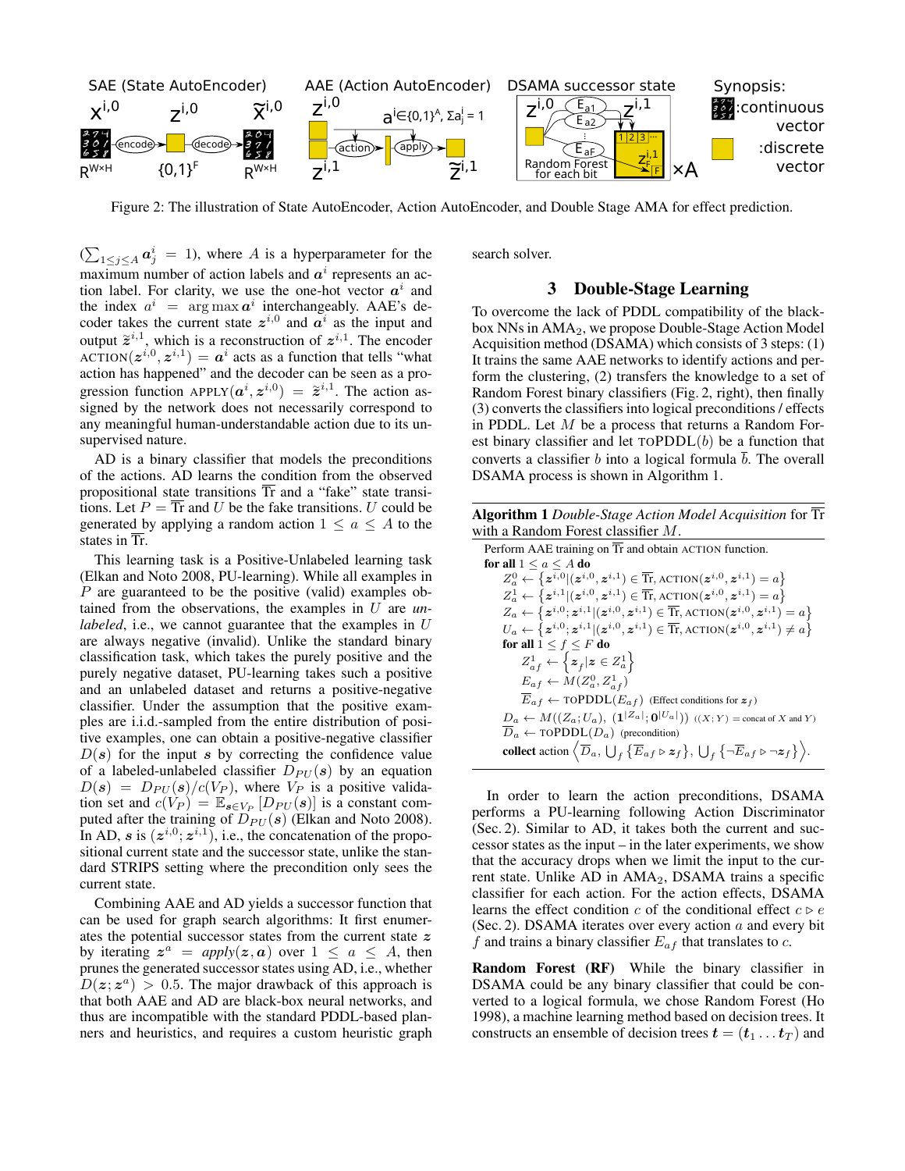

Figure 2: The illustration of State AutoEncoder, Action AutoEncoder, and Double Stage AMA for effect prediction.

 $(\sum_{1 \leq j \leq A} a_j^i = 1)$ , where A is a hyperparameter for the maximum number of action labels and  $a^i$  represents an action label. For clarity, we use the one-hot vector  $a^i$  and the index  $a^i$  =  $\arg \max a^i$  interchangeably. AAE's decoder takes the current state  $z^{i,0}$  and  $\overline{a}^i$  as the input and output  $\tilde{z}^{i,1}$ , which is a reconstruction of  $z^{i,1}$ . The encoder  $\text{ACTION}(\boldsymbol{z}^{i,0}, \boldsymbol{z}^{i,1}) = \boldsymbol{a}^i$  acts as a function that tells "what action has happened" and the decoder can be seen as a progression function APPLY $(a^i, z^{i,0}) = \tilde{z}^{i,1}$ . The action assigned by the network does not necessarily correspond to any meaningful human-understandable action due to its unsupervised nature.

AD is a binary classifier that models the preconditions of the actions. AD learns the condition from the observed propositional state transitions  $\overline{Tr}$  and a "fake" state transitions. Let  $P = Tr$  and U be the fake transitions. U could be generated by applying a random action  $1 \le a \le A$  to the states in Tr.

This learning task is a Positive-Unlabeled learning task (Elkan and Noto 2008, PU-learning). While all examples in  $P$  are guaranteed to be the positive (valid) examples obtained from the observations, the examples in U are *unlabeled*, i.e., we cannot guarantee that the examples in  $U$ are always negative (invalid). Unlike the standard binary classification task, which takes the purely positive and the purely negative dataset, PU-learning takes such a positive and an unlabeled dataset and returns a positive-negative classifier. Under the assumption that the positive examples are i.i.d.-sampled from the entire distribution of positive examples, one can obtain a positive-negative classifier  $D(s)$  for the input s by correcting the confidence value of a labeled-unlabeled classifier  $D_{PU}(s)$  by an equation  $D(s) = D_{PU}(s)/c(V_P)$ , where  $V_P$  is a positive validation set and  $c(V_P) = \mathbb{E}_{s \in V_P} [D_{PU}(s)]$  is a constant computed after the training of  $D_{PU}(s)$  (Elkan and Noto 2008). In AD, s is  $(z^{i,0}; z^{i,1})$ , i.e., the concatenation of the propositional current state and the successor state, unlike the standard STRIPS setting where the precondition only sees the current state.

Combining AAE and AD yields a successor function that can be used for graph search algorithms: It first enumerates the potential successor states from the current state  $z$ by iterating  $z^a = apply(z, a)$  over  $1 \le a \le A$ , then prunes the generated successor states using AD, i.e., whether  $D(z; z^a) > 0.5$ . The major drawback of this approach is that both AAE and AD are black-box neural networks, and thus are incompatible with the standard PDDL-based planners and heuristics, and requires a custom heuristic graph search solver.

# 3 Double-Stage Learning

To overcome the lack of PDDL compatibility of the blackbox NNs in  $AMA<sub>2</sub>$ , we propose Double-Stage Action Model Acquisition method (DSAMA) which consists of 3 steps: (1) It trains the same AAE networks to identify actions and perform the clustering, (2) transfers the knowledge to a set of Random Forest binary classifiers (Fig. 2, right), then finally (3) converts the classifiers into logical preconditions / effects in PDDL. Let  $M$  be a process that returns a Random Forest binary classifier and let  $ToPDDL(b)$  be a function that converts a classifier b into a logical formula  $\bar{b}$ . The overall DSAMA process is shown in Algorithm 1.

| <b>Algorithm 1</b> Double-Stage Action Model Acquisition for Tr |  |
|-----------------------------------------------------------------|--|
| with a Random Forest classifier $M$ .                           |  |

| Perform AAE training on Tr and obtain ACTION function.                                                                                                                                                      |
|-------------------------------------------------------------------------------------------------------------------------------------------------------------------------------------------------------------|
| for all $1 \leq a \leq A$ do                                                                                                                                                                                |
| $Z_a^0 \leftarrow \{ \boldsymbol{z}^{i,0}   (\boldsymbol{z}^{i,0}, \boldsymbol{z}^{i,1}) \in \overline{\text{Tr}}, \text{ACTION}(\boldsymbol{z}^{i,0}, \boldsymbol{z}^{i,1}) = a \}$                        |
| $Z_a^1 \leftarrow \{ \boldsymbol{z}^{i,1}   (\boldsymbol{z}^{i,0}, \boldsymbol{z}^{i,1}) \in \overline{\text{Tr}}, \text{ACTION}(\boldsymbol{z}^{i,0}, \boldsymbol{z}^{i,1}) = a \}$                        |
| $Z_a \leftarrow \{ \mathbf{z}^{i,0}; \mathbf{z}^{i,1}   (\mathbf{z}^{i,0}, \mathbf{z}^{i,1}) \in \overline{\text{Tr}}, \text{ACTION}(\mathbf{z}^{i,0}, \mathbf{z}^{i,1}) = a \}$                            |
| $U_a \leftarrow \{ \boldsymbol{z}^{i,0}; \boldsymbol{z}^{i,1}   (\boldsymbol{z}^{i,0}, \boldsymbol{z}^{i,1}) \in \overline{\text{Tr}}, \text{ACTION}(\boldsymbol{z}^{i,0}, \boldsymbol{z}^{i,1}) \neq a \}$ |
| for all $1 \leq f \leq F$ do                                                                                                                                                                                |
| $Z_{af}^1 \leftarrow \left\{ \boldsymbol{z}_f   \boldsymbol{z} \in Z_a^1 \right\}$                                                                                                                          |
| $E_{af} \leftarrow M(Z_a^0, Z_{af}^1)$                                                                                                                                                                      |
| $\overline{E}_{af} \leftarrow \text{TOPDDL}(E_{af})$ (Effect conditions for $z_f$ )                                                                                                                         |
| $D_a \leftarrow M((Z_a; U_a), (1^{ Z_a }; 0^{ U_a }))$ $((X; Y) = \text{concat of } X \text{ and } Y)$                                                                                                      |
| $D_a \leftarrow \text{TOPDDL}(D_a)$ (precondition)                                                                                                                                                          |
| <b>collect</b> action $\left\langle \overline{D}_a, \bigcup_f \{ \overline{E}_{af} \triangleright z_f \}, \bigcup_f \left\{ \neg \overline{E}_{af} \triangleright \neg z_f \right\} \right\rangle$ .        |

In order to learn the action preconditions, DSAMA performs a PU-learning following Action Discriminator (Sec. 2). Similar to AD, it takes both the current and successor states as the input – in the later experiments, we show that the accuracy drops when we limit the input to the current state. Unlike AD in AMA<sub>2</sub>, DSAMA trains a specific classifier for each action. For the action effects, DSAMA learns the effect condition c of the conditional effect  $c \triangleright e$ (Sec. 2). DSAMA iterates over every action  $a$  and every bit f and trains a binary classifier  $E_{af}$  that translates to c.

Random Forest (RF) While the binary classifier in DSAMA could be any binary classifier that could be converted to a logical formula, we chose Random Forest (Ho 1998), a machine learning method based on decision trees. It constructs an ensemble of decision trees  $t = (t_1 \dots t_T)$  and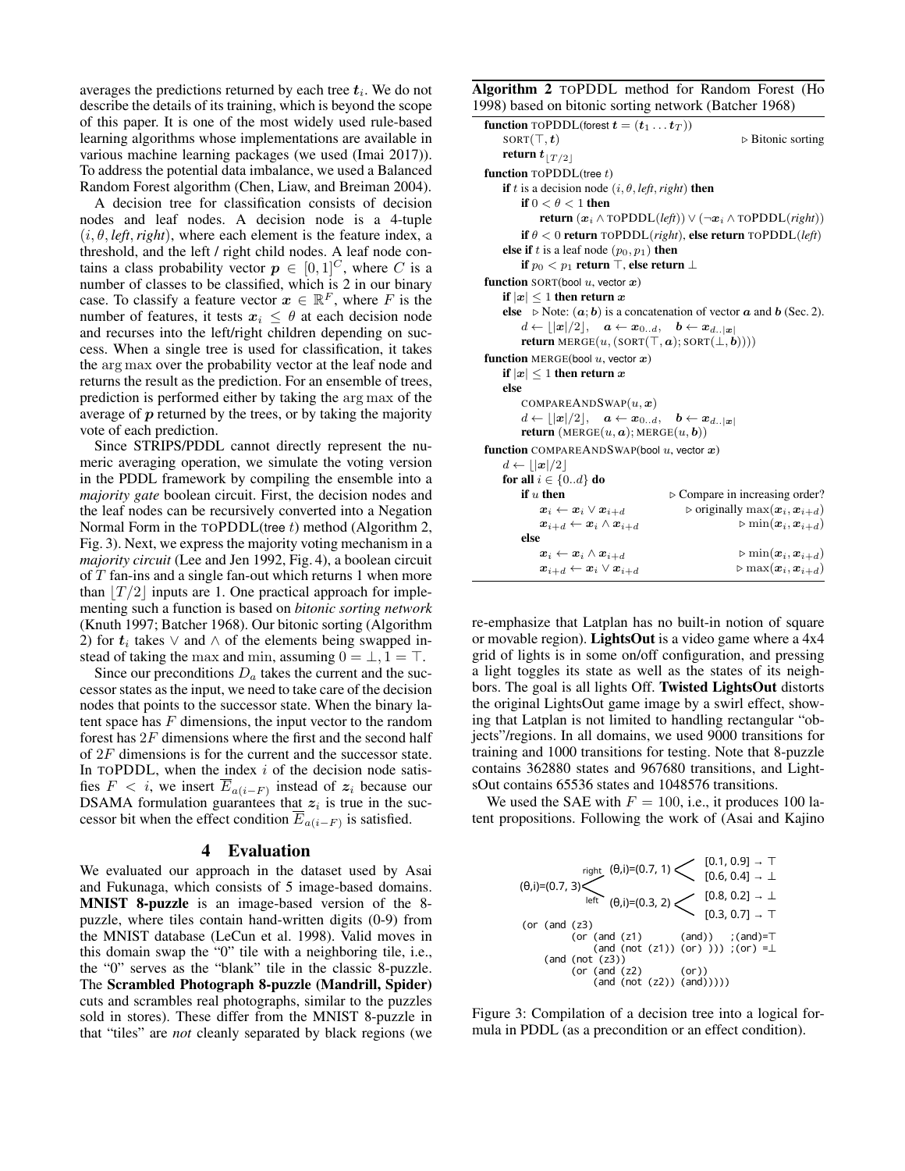averages the predictions returned by each tree  $t_i$ . We do not describe the details of its training, which is beyond the scope of this paper. It is one of the most widely used rule-based learning algorithms whose implementations are available in various machine learning packages (we used (Imai 2017)). To address the potential data imbalance, we used a Balanced Random Forest algorithm (Chen, Liaw, and Breiman 2004).

A decision tree for classification consists of decision nodes and leaf nodes. A decision node is a 4-tuple  $(i, \theta, \text{left}, \text{right})$ , where each element is the feature index, a threshold, and the left / right child nodes. A leaf node contains a class probability vector  $p \in [0, 1]^C$ , where C is a number of classes to be classified, which is 2 in our binary case. To classify a feature vector  $x \in \mathbb{R}^F$ , where F is the number of features, it tests  $x_i \leq \theta$  at each decision node and recurses into the left/right children depending on success. When a single tree is used for classification, it takes the arg max over the probability vector at the leaf node and returns the result as the prediction. For an ensemble of trees, prediction is performed either by taking the arg max of the average of  $p$  returned by the trees, or by taking the majority vote of each prediction.

Since STRIPS/PDDL cannot directly represent the numeric averaging operation, we simulate the voting version in the PDDL framework by compiling the ensemble into a *majority gate* boolean circuit. First, the decision nodes and the leaf nodes can be recursively converted into a Negation Normal Form in the  $ToPDDL$ (tree t) method (Algorithm 2, Fig. 3). Next, we express the majority voting mechanism in a *majority circuit* (Lee and Jen 1992, Fig. 4), a boolean circuit of  $T$  fan-ins and a single fan-out which returns 1 when more than  $|T/2|$  inputs are 1. One practical approach for implementing such a function is based on *bitonic sorting network* (Knuth 1997; Batcher 1968). Our bitonic sorting (Algorithm 2) for  $t_i$  takes  $\vee$  and  $\wedge$  of the elements being swapped instead of taking the max and min, assuming  $0 = \perp, 1 = \top$ .

Since our preconditions  $D_a$  takes the current and the successor states as the input, we need to take care of the decision nodes that points to the successor state. When the binary latent space has  $F$  dimensions, the input vector to the random forest has  $2F$  dimensions where the first and the second half of 2F dimensions is for the current and the successor state. In TOPDDL, when the index  $i$  of the decision node satisfies  $F < i$ , we insert  $E_{a(i-F)}$  instead of  $z_i$  because our DSAMA formulation guarantees that  $z_i$  is true in the successor bit when the effect condition  $\overline{E}_{a(i-F)}$  is satisfied.

## 4 Evaluation

We evaluated our approach in the dataset used by Asai and Fukunaga, which consists of 5 image-based domains. MNIST 8-puzzle is an image-based version of the 8 puzzle, where tiles contain hand-written digits (0-9) from the MNIST database (LeCun et al. 1998). Valid moves in this domain swap the "0" tile with a neighboring tile, i.e., the "0" serves as the "blank" tile in the classic 8-puzzle. The Scrambled Photograph 8-puzzle (Mandrill, Spider) cuts and scrambles real photographs, similar to the puzzles sold in stores). These differ from the MNIST 8-puzzle in that "tiles" are *not* cleanly separated by black regions (we Algorithm 2 TOPDDL method for Random Forest (Ho 1998) based on bitonic sorting network (Batcher 1968)

```
function TOPDDL(forest t = (t_1 \dots t_T))
SORT(T, t) \triangleright Bitonic sorting
return t_{\lfloor T/2\rfloor}function \text{TOPDDL}(tree t)
if t is a decision node (i, \theta, \text{left}, \text{right}) then
     if 0 < \theta < 1 then
           return (x_i \land \text{ToPDDL}(left)) \lor (\neg x_i \land \text{ToPDDL}(right))if θ < 0 return TOPDDL(right), else return TOPDDL(left)
else if t is a leaf node (p_0, p_1) then
     if p_0 < p_1 return \top, else return \botfunction SORT(bool u, vector x)
if |x| \leq 1 then return x
else \triangleright Note: (a, b) is a concatenation of vector a and b (Sec. 2).
      d \leftarrow ||\boldsymbol{x}|/2|, \quad \boldsymbol{a} \leftarrow \boldsymbol{x}_{0...d}, \quad \boldsymbol{b} \leftarrow \boldsymbol{x}_{d...|\boldsymbol{x}|}return MERGE(u, (\text{SORT}(\top, a); \text{SORT}(\bot, b))))function MERGE(bool u, vector x)
if |x| \leq 1 then return x
else
      COMPAREANDSWAP(u, x)d \leftarrow ||\mathbf{x}|/2|, \quad \mathbf{a} \leftarrow \mathbf{x}_{0...d}, \quad \mathbf{b} \leftarrow \mathbf{x}_{d...|\mathbf{x}|}return (MERGE(u, a); MERGE(u, b))function COMPAREANDSWAP(bool u, vector x)
d \leftarrow ||\boldsymbol{x}|/2||for all i \in \{0..d\} do
     if u then \triangleright Compare in increasing order?
           x_i \leftarrow x_i \vee x_{i+d} . \triangleright originally \max(x_i, x_{i+d})\boldsymbol{x}_{i+d} \leftarrow \boldsymbol{x}_{i} \land \boldsymbol{x}_{i+d} \quad \Rightarrow \min(\boldsymbol{x}_{i}, \boldsymbol{x}_{i+d})else
            \boldsymbol{x}_i \leftarrow \boldsymbol{x}_i \land \boldsymbol{x}_{i+d} \quad \qquad \qquad \triangleright \min(\boldsymbol{x}_i, \boldsymbol{x}_{i+d})\boldsymbol{x}_{i+d} \leftarrow \boldsymbol{x}_i \vee \boldsymbol{x}_{i+d} \qquad \qquad \triangleright \max(\boldsymbol{x}_i, \boldsymbol{x}_{i+d})
```
re-emphasize that Latplan has no built-in notion of square or movable region). LightsOut is a video game where a 4x4 grid of lights is in some on/off configuration, and pressing a light toggles its state as well as the states of its neighbors. The goal is all lights Off. Twisted LightsOut distorts the original LightsOut game image by a swirl effect, showing that Latplan is not limited to handling rectangular "objects"/regions. In all domains, we used 9000 transitions for training and 1000 transitions for testing. Note that 8-puzzle contains 362880 states and 967680 transitions, and LightsOut contains 65536 states and 1048576 transitions.

We used the SAE with  $F = 100$ , i.e., it produces 100 latent propositions. Following the work of (Asai and Kajino

(θ,i)=(0.7, 3) (θ,i)=(0.7, 1) (θ,i)=(0.3, 2) [0.3, 0.7] → ⊤ [0.8, 0.2] → ⊥ [0.1, 0.9] → ⊤ [0.6, 0.4] → ⊥ right left (or (and (z3) (or (and (z1) (and)) ;(and)=⊤ (and (not (z1)) (or) ))) ;(or) =⊥ (and (not (z3)) (or (and (z2) (or)) (and (not (z2)) (and)))))

Figure 3: Compilation of a decision tree into a logical formula in PDDL (as a precondition or an effect condition).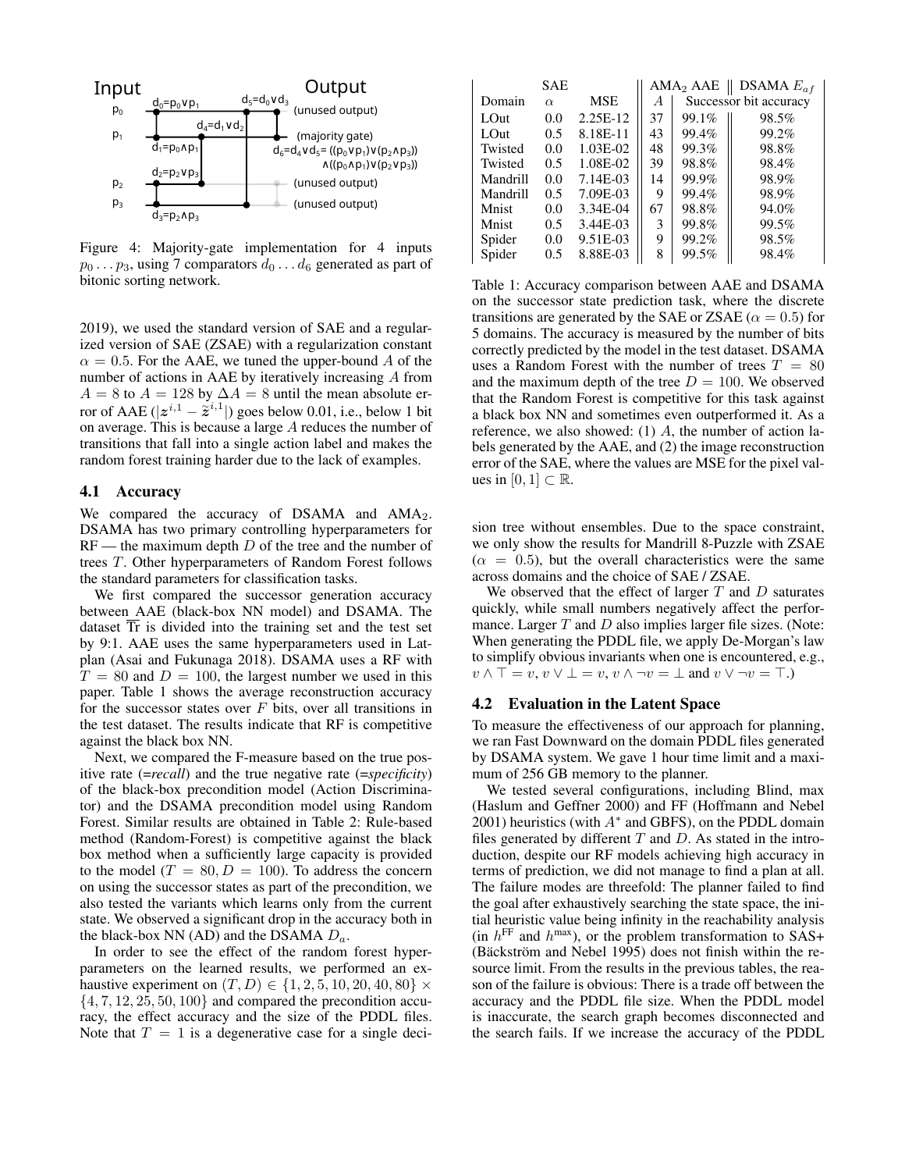

Figure 4: Majority-gate implementation for 4 inputs  $p_0 \dots p_3$ , using 7 comparators  $d_0 \dots d_6$  generated as part of bitonic sorting network.

2019), we used the standard version of SAE and a regularized version of SAE (ZSAE) with a regularization constant  $\alpha = 0.5$ . For the AAE, we tuned the upper-bound A of the number of actions in AAE by iteratively increasing A from  $A = 8$  to  $A = 128$  by  $\Delta A = 8$  until the mean absolute error of AAE ( $|z^{i,1} - \tilde{z}^{i,1}|$ ) goes below 0.01, i.e., below 1 bit on average. This is because a large A reduces the number of transitions that fall into a single action label and makes the random forest training harder due to the lack of examples.

#### 4.1 Accuracy

We compared the accuracy of DSAMA and  $AMA<sub>2</sub>$ . DSAMA has two primary controlling hyperparameters for  $RF$  — the maximum depth  $D$  of the tree and the number of trees T. Other hyperparameters of Random Forest follows the standard parameters for classification tasks.

We first compared the successor generation accuracy between AAE (black-box NN model) and DSAMA. The dataset  $\overline{Tr}$  is divided into the training set and the test set by 9:1. AAE uses the same hyperparameters used in Latplan (Asai and Fukunaga 2018). DSAMA uses a RF with  $T = 80$  and  $D = 100$ , the largest number we used in this paper. Table 1 shows the average reconstruction accuracy for the successor states over  $F$  bits, over all transitions in the test dataset. The results indicate that RF is competitive against the black box NN.

Next, we compared the F-measure based on the true positive rate (=*recall*) and the true negative rate (=*specificity*) of the black-box precondition model (Action Discriminator) and the DSAMA precondition model using Random Forest. Similar results are obtained in Table 2: Rule-based method (Random-Forest) is competitive against the black box method when a sufficiently large capacity is provided to the model  $(T = 80, D = 100)$ . To address the concern on using the successor states as part of the precondition, we also tested the variants which learns only from the current state. We observed a significant drop in the accuracy both in the black-box NN (AD) and the DSAMA  $D_a$ .

In order to see the effect of the random forest hyperparameters on the learned results, we performed an exhaustive experiment on  $(T, D) \in \{1, 2, 5, 10, 20, 40, 80\} \times$  $\{4, 7, 12, 25, 50, 100\}$  and compared the precondition accuracy, the effect accuracy and the size of the PDDL files. Note that  $T = 1$  is a degenerative case for a single deci-

|          | <b>SAE</b>    |            | AMA <sub>2</sub> AAE    DSAMA $E_{af}$ |       |                        |  |  |  |
|----------|---------------|------------|----------------------------------------|-------|------------------------|--|--|--|
| Domain   | $\alpha$      | <b>MSE</b> | A                                      |       | Successor bit accuracy |  |  |  |
| LOut.    | 0.0           | 2.25E-12   | 37                                     | 99.1% | 98.5%                  |  |  |  |
| LOut.    | 0.5           | 8.18E-11   | 43                                     | 99.4% | 99.2%                  |  |  |  |
| Twisted  | 0.0           | 1.03E-02   | 48                                     | 99.3% | 98.8%                  |  |  |  |
| Twisted  | $0.5^{\circ}$ | 1.08E-02   | 39                                     | 98.8% | 98.4%                  |  |  |  |
| Mandrill | 0.0           | 7.14E-03   | 14                                     | 99.9% | 98.9%                  |  |  |  |
| Mandrill | $0.5^{\circ}$ | 7.09E-03   | 9                                      | 99.4% | 98.9%                  |  |  |  |
| Mnist    | 0.0           | 3.34E-04   | 67                                     | 98.8% | 94.0%                  |  |  |  |
| Mnist    | $0.5^{\circ}$ | 3.44E-03   | 3                                      | 99.8% | 99.5%                  |  |  |  |
| Spider   | 0.0           | 9.51E-03   | 9                                      | 99.2% | 98.5%                  |  |  |  |
| Spider   | 0.5           | 8.88E-03   | 8                                      | 99.5% | 98.4%                  |  |  |  |

Table 1: Accuracy comparison between AAE and DSAMA on the successor state prediction task, where the discrete transitions are generated by the SAE or ZSAE ( $\alpha = 0.5$ ) for 5 domains. The accuracy is measured by the number of bits correctly predicted by the model in the test dataset. DSAMA uses a Random Forest with the number of trees  $T = 80$ and the maximum depth of the tree  $D = 100$ . We observed that the Random Forest is competitive for this task against a black box NN and sometimes even outperformed it. As a reference, we also showed: (1)  $\dot{A}$ , the number of action labels generated by the AAE, and (2) the image reconstruction error of the SAE, where the values are MSE for the pixel values in  $[0, 1] \subset \mathbb{R}$ .

sion tree without ensembles. Due to the space constraint, we only show the results for Mandrill 8-Puzzle with ZSAE  $(\alpha = 0.5)$ , but the overall characteristics were the same across domains and the choice of SAE / ZSAE.

We observed that the effect of larger  $T$  and  $D$  saturates quickly, while small numbers negatively affect the performance. Larger  $T$  and  $D$  also implies larger file sizes. (Note: When generating the PDDL file, we apply De-Morgan's law to simplify obvious invariants when one is encountered, e.g.,  $v \wedge \top = v$ ,  $v \vee \bot = v$ ,  $v \wedge \neg v = \bot$  and  $v \vee \neg v = \top$ .)

## 4.2 Evaluation in the Latent Space

To measure the effectiveness of our approach for planning, we ran Fast Downward on the domain PDDL files generated by DSAMA system. We gave 1 hour time limit and a maximum of 256 GB memory to the planner.

We tested several configurations, including Blind, max (Haslum and Geffner 2000) and FF (Hoffmann and Nebel 2001) heuristics (with  $A^*$  and GBFS), on the PDDL domain files generated by different  $T$  and  $D$ . As stated in the introduction, despite our RF models achieving high accuracy in terms of prediction, we did not manage to find a plan at all. The failure modes are threefold: The planner failed to find the goal after exhaustively searching the state space, the initial heuristic value being infinity in the reachability analysis (in  $h^{\text{FF}}$  and  $h^{\text{max}}$ ), or the problem transformation to SAS+ (Bäckström and Nebel 1995) does not finish within the resource limit. From the results in the previous tables, the reason of the failure is obvious: There is a trade off between the accuracy and the PDDL file size. When the PDDL model is inaccurate, the search graph becomes disconnected and the search fails. If we increase the accuracy of the PDDL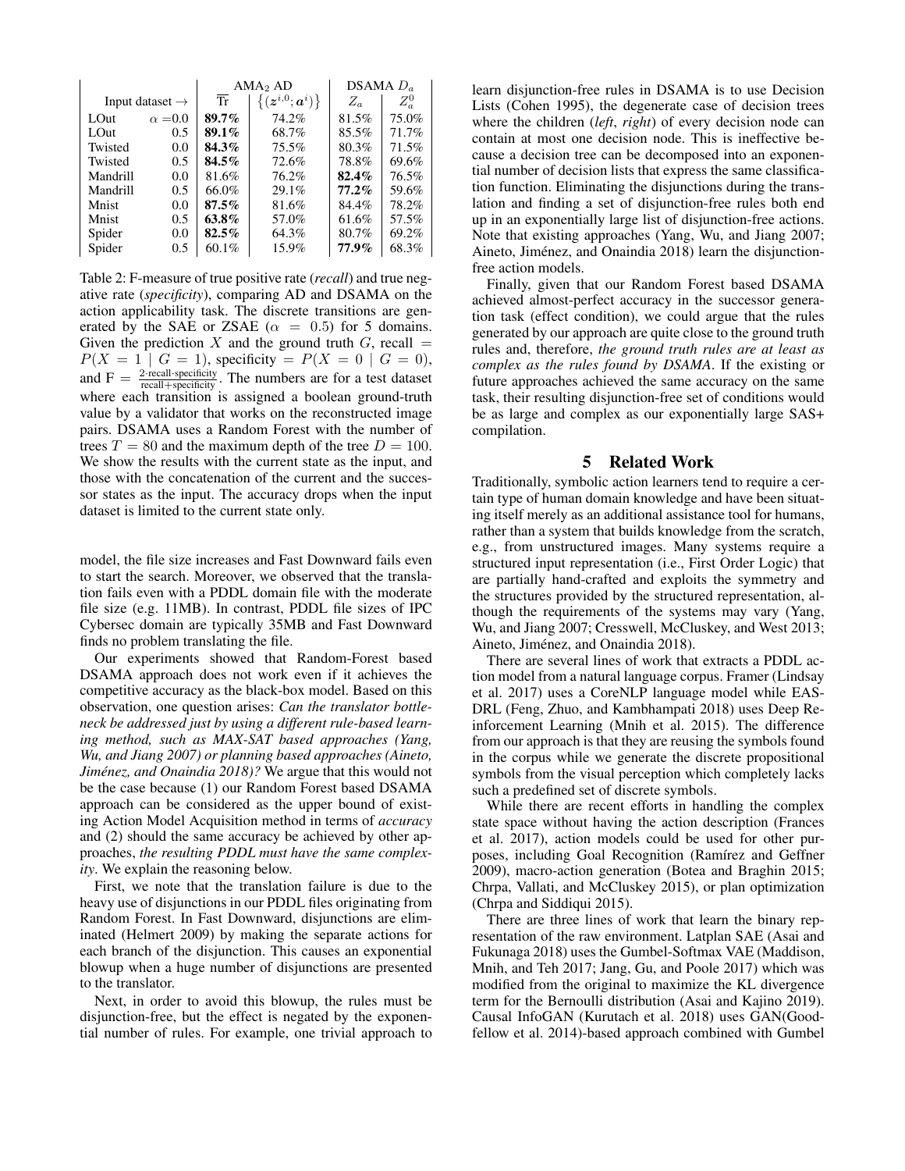|          |                             |          | AMA <sub>2</sub> AD                            | DSAMA $D_a$ |         |  |  |
|----------|-----------------------------|----------|------------------------------------------------|-------------|---------|--|--|
|          | Input dataset $\rightarrow$ | Tr       | $\{\boldsymbol{z}^{i,0};\boldsymbol{a}^{i})\}$ | $Z_a$       | $Z_a^0$ |  |  |
| LOut.    | $\alpha = 0.0$              | $89.7\%$ | 74.2%                                          | 81.5%       | 75.0%   |  |  |
| LOut.    | 0.5                         | 89.1%    | 68.7%                                          | 85.5%       | 71.7%   |  |  |
| Twisted  | 0.0                         | 84.3%    | 75.5%                                          | 80.3%       | 71.5%   |  |  |
| Twisted  | 0.5                         | $84.5\%$ | 72.6%                                          | 78.8%       | 69.6%   |  |  |
| Mandrill | $0.0^{\circ}$               | 81.6%    | 76.2%                                          | $82.4\%$    | 76.5%   |  |  |
| Mandrill | 0.5                         | 66.0%    | 29.1%                                          | $77.2\%$    | 59.6%   |  |  |
| Mnist    | $0.0^{\circ}$               | $87.5\%$ | 81.6%                                          | 84.4%       | 78.2%   |  |  |
| Mnist    | 0.5                         | 63.8%    | 57.0%                                          | 61.6%       | 57.5%   |  |  |
| Spider   | 0.0                         | $82.5\%$ | 64.3%                                          | 80.7%       | 69.2%   |  |  |
| Spider   | 0.5                         | 60.1%    | 15.9%                                          | 77.9%       | 68.3%   |  |  |

Table 2: F-measure of true positive rate (*recall*) and true negative rate (*specificity*), comparing AD and DSAMA on the action applicability task. The discrete transitions are generated by the SAE or ZSAE ( $\alpha = 0.5$ ) for 5 domains. Given the prediction X and the ground truth  $G$ , recall  $=$  $P(X = 1 | G = 1)$ , specificity =  $P(X = 0 | G = 0)$ , and  $F = \frac{2 \text{ recall-specificity}}{\text{recall-specificity}}$ . The numbers are for a test dataset where each transition is assigned a boolean ground-truth value by a validator that works on the reconstructed image pairs. DSAMA uses a Random Forest with the number of trees  $T = 80$  and the maximum depth of the tree  $D = 100$ . We show the results with the current state as the input, and those with the concatenation of the current and the successor states as the input. The accuracy drops when the input dataset is limited to the current state only.

model, the file size increases and Fast Downward fails even to start the search. Moreover, we observed that the translation fails even with a PDDL domain file with the moderate file size (e.g. 11MB). In contrast, PDDL file sizes of IPC Cybersec domain are typically 35MB and Fast Downward finds no problem translating the file.

Our experiments showed that Random-Forest based DSAMA approach does not work even if it achieves the competitive accuracy as the black-box model. Based on this observation, one question arises: *Can the translator bottleneck be addressed just by using a different rule-based learning method, such as MAX-SAT based approaches (Yang, Wu, and Jiang 2007) or planning based approaches (Aineto, Jiménez, and Onaindia 2018)?* We argue that this would not be the case because (1) our Random Forest based DSAMA approach can be considered as the upper bound of existing Action Model Acquisition method in terms of *accuracy* and (2) should the same accuracy be achieved by other approaches, *the resulting PDDL must have the same complexity*. We explain the reasoning below.

First, we note that the translation failure is due to the heavy use of disjunctions in our PDDL files originating from Random Forest. In Fast Downward, disjunctions are eliminated (Helmert 2009) by making the separate actions for each branch of the disjunction. This causes an exponential blowup when a huge number of disjunctions are presented to the translator.

Next, in order to avoid this blowup, the rules must be disjunction-free, but the effect is negated by the exponential number of rules. For example, one trivial approach to learn disjunction-free rules in DSAMA is to use Decision Lists (Cohen 1995), the degenerate case of decision trees where the children (*left*, *right*) of every decision node can contain at most one decision node. This is ineffective because a decision tree can be decomposed into an exponential number of decision lists that express the same classification function. Eliminating the disjunctions during the translation and finding a set of disjunction-free rules both end up in an exponentially large list of disjunction-free actions. Note that existing approaches (Yang, Wu, and Jiang 2007; Aineto, Jiménez, and Onaindia 2018) learn the disjunctionfree action models.

Finally, given that our Random Forest based DSAMA achieved almost-perfect accuracy in the successor generation task (effect condition), we could argue that the rules generated by our approach are quite close to the ground truth rules and, therefore, *the ground truth rules are at least as complex as the rules found by DSAMA*. If the existing or future approaches achieved the same accuracy on the same task, their resulting disjunction-free set of conditions would be as large and complex as our exponentially large SAS+ compilation.

# 5 Related Work

Traditionally, symbolic action learners tend to require a certain type of human domain knowledge and have been situating itself merely as an additional assistance tool for humans, rather than a system that builds knowledge from the scratch, e.g., from unstructured images. Many systems require a structured input representation (i.e., First Order Logic) that are partially hand-crafted and exploits the symmetry and the structures provided by the structured representation, although the requirements of the systems may vary (Yang, Wu, and Jiang 2007; Cresswell, McCluskey, and West 2013; Aineto, Jiménez, and Onaindia 2018).

There are several lines of work that extracts a PDDL action model from a natural language corpus. Framer (Lindsay et al. 2017) uses a CoreNLP language model while EAS-DRL (Feng, Zhuo, and Kambhampati 2018) uses Deep Reinforcement Learning (Mnih et al. 2015). The difference from our approach is that they are reusing the symbols found in the corpus while we generate the discrete propositional symbols from the visual perception which completely lacks such a predefined set of discrete symbols.

While there are recent efforts in handling the complex state space without having the action description (Frances et al. 2017), action models could be used for other purposes, including Goal Recognition (Ramírez and Geffner 2009), macro-action generation (Botea and Braghin 2015; Chrpa, Vallati, and McCluskey 2015), or plan optimization (Chrpa and Siddiqui 2015).

There are three lines of work that learn the binary representation of the raw environment. Latplan SAE (Asai and Fukunaga 2018) uses the Gumbel-Softmax VAE (Maddison, Mnih, and Teh 2017; Jang, Gu, and Poole 2017) which was modified from the original to maximize the KL divergence term for the Bernoulli distribution (Asai and Kajino 2019). Causal InfoGAN (Kurutach et al. 2018) uses GAN(Goodfellow et al. 2014)-based approach combined with Gumbel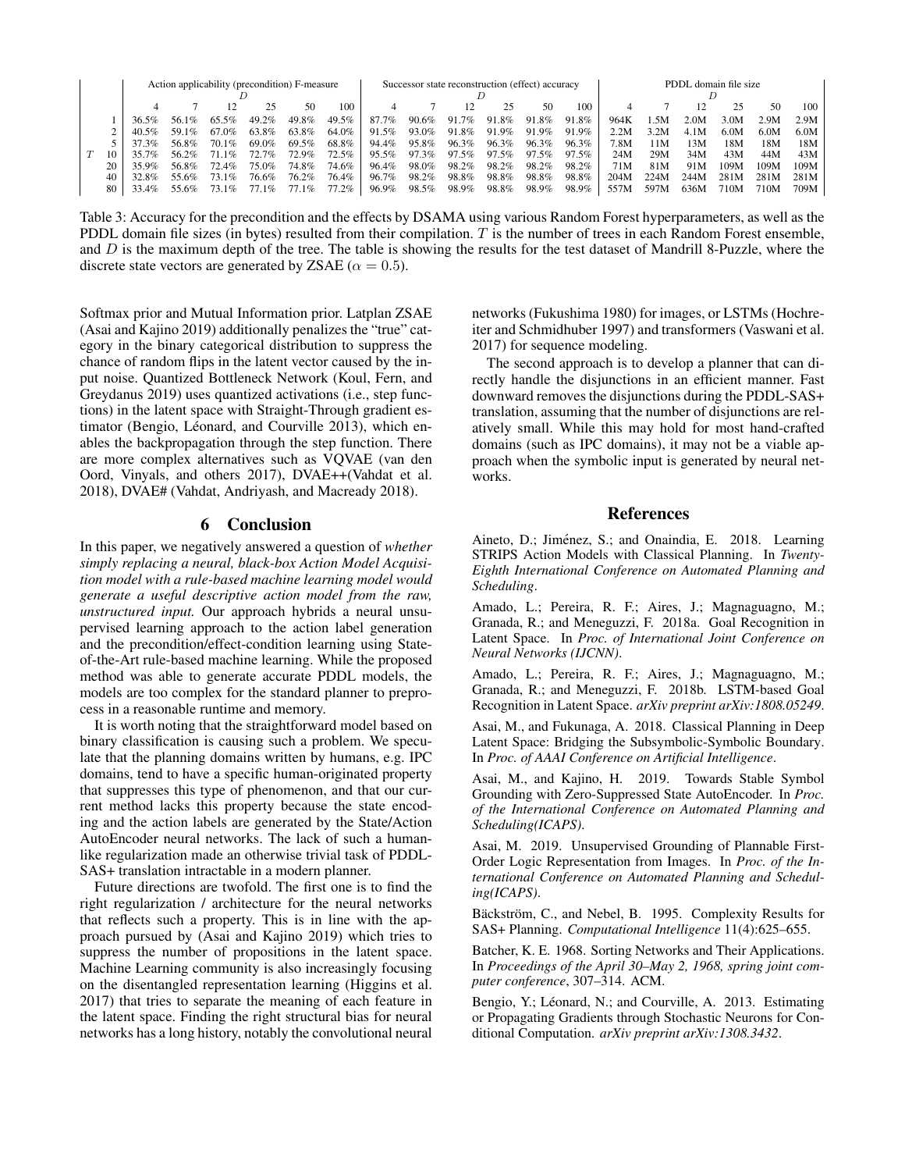|    | Action applicability (precondition) F-measure |       |          |       |           | Successor state reconstruction (effect) accuracy |       |       |                 |       | PDDL domain file size |       |                |                  |      |      |      |      |
|----|-----------------------------------------------|-------|----------|-------|-----------|--------------------------------------------------|-------|-------|-----------------|-------|-----------------------|-------|----------------|------------------|------|------|------|------|
|    | 100<br>50                                     |       |          |       | 100<br>50 |                                                  |       |       | 100<br>50<br>25 |       |                       |       |                |                  |      |      |      |      |
|    | 36.5%                                         | 56.1% | $65.5\%$ | 49.2% | 49.8%     | 49.5%                                            | 87.7% | 90.6% | 91.7%           | 91.8% | 91.8%                 | 91.8% | 964K           | .5M              | 2.0M | 3.0M | 2.9M | 2.9M |
|    | 40.5%                                         | 59.1% | 67.0%    | 63.8% | 63.8%     | 64.0%                                            | 91.5% | 93.0% | 91.8%           | 91.9% | 91.9%                 | 91.9% | 2.2M           | 3.2M             | 4.1M | 6.0M | 6.0M | 6.0M |
|    | 37.3%                                         | 56.8% | $70.1\%$ | 69.0% | 69.5%     | 68.8%                                            | 94.4% | 95.8% | 96.3%           | 96.3% | 96.3%                 | 96.3% | $^{\prime}.8M$ | 11M              | 13M  | 18M  | 18M  | 18M  |
| 10 | 35.7%                                         | 56.2% | 71.1%    | 72.7% | 72.9%     | 72.5%                                            | 95.5% | 97.3% | 97.5%           | 97.5% | 97.5%                 | 97.5% | 24M            | 29M              | 34M  | 43M  | 44M  | 43M  |
| 20 | 35.9%                                         | 56.8% | 72.4%    | 75.0% | 74.8%     | 74.6%                                            | 96.4% | 98.0% | 98.2%           | 98.2% | 98.2%                 | 98.2% | 71M            | 81M              | 91M  | 109M | 109M | 109M |
| 40 | 32.8%                                         | 55.6% | 73.1%    | 76.6% | 76.2%     | 76.4%                                            | 96.7% | 98.2% | 98.8%           | 98.8% | 98.8%                 | 98.8% | 204M           | 224 <sub>N</sub> | 244M | 281M | 281M | 281M |
| 80 | 33.4%                                         | 55.6% | 731%     | 771%  | $771\%$   | 77.2%                                            | 96.9% | 98.5% | 98.9%           | 98.8% | 98.9%                 | 98.9% | 557M           | 597 <sub>N</sub> | 636M | '10M | 710M | 709M |

Table 3: Accuracy for the precondition and the effects by DSAMA using various Random Forest hyperparameters, as well as the PDDL domain file sizes (in bytes) resulted from their compilation.  $T$  is the number of trees in each Random Forest ensemble, and  $D$  is the maximum depth of the tree. The table is showing the results for the test dataset of Mandrill 8-Puzzle, where the discrete state vectors are generated by ZSAE ( $\alpha = 0.5$ ).

Softmax prior and Mutual Information prior. Latplan ZSAE (Asai and Kajino 2019) additionally penalizes the "true" category in the binary categorical distribution to suppress the chance of random flips in the latent vector caused by the input noise. Quantized Bottleneck Network (Koul, Fern, and Greydanus 2019) uses quantized activations (i.e., step functions) in the latent space with Straight-Through gradient estimator (Bengio, Léonard, and Courville 2013), which enables the backpropagation through the step function. There are more complex alternatives such as VQVAE (van den Oord, Vinyals, and others 2017), DVAE++(Vahdat et al. 2018), DVAE# (Vahdat, Andriyash, and Macready 2018).

# 6 Conclusion

In this paper, we negatively answered a question of *whether simply replacing a neural, black-box Action Model Acquisition model with a rule-based machine learning model would generate a useful descriptive action model from the raw, unstructured input.* Our approach hybrids a neural unsupervised learning approach to the action label generation and the precondition/effect-condition learning using Stateof-the-Art rule-based machine learning. While the proposed method was able to generate accurate PDDL models, the models are too complex for the standard planner to preprocess in a reasonable runtime and memory.

It is worth noting that the straightforward model based on binary classification is causing such a problem. We speculate that the planning domains written by humans, e.g. IPC domains, tend to have a specific human-originated property that suppresses this type of phenomenon, and that our current method lacks this property because the state encoding and the action labels are generated by the State/Action AutoEncoder neural networks. The lack of such a humanlike regularization made an otherwise trivial task of PDDL-SAS+ translation intractable in a modern planner.

Future directions are twofold. The first one is to find the right regularization / architecture for the neural networks that reflects such a property. This is in line with the approach pursued by (Asai and Kajino 2019) which tries to suppress the number of propositions in the latent space. Machine Learning community is also increasingly focusing on the disentangled representation learning (Higgins et al. 2017) that tries to separate the meaning of each feature in the latent space. Finding the right structural bias for neural networks has a long history, notably the convolutional neural

networks (Fukushima 1980) for images, or LSTMs (Hochreiter and Schmidhuber 1997) and transformers (Vaswani et al. 2017) for sequence modeling.

The second approach is to develop a planner that can directly handle the disjunctions in an efficient manner. Fast downward removes the disjunctions during the PDDL-SAS+ translation, assuming that the number of disjunctions are relatively small. While this may hold for most hand-crafted domains (such as IPC domains), it may not be a viable approach when the symbolic input is generated by neural networks.

# References

Aineto, D.; Jiménez, S.; and Onaindia, E. 2018. Learning STRIPS Action Models with Classical Planning. In *Twenty-Eighth International Conference on Automated Planning and Scheduling*.

Amado, L.; Pereira, R. F.; Aires, J.; Magnaguagno, M.; Granada, R.; and Meneguzzi, F. 2018a. Goal Recognition in Latent Space. In *Proc. of International Joint Conference on Neural Networks (IJCNN)*.

Amado, L.; Pereira, R. F.; Aires, J.; Magnaguagno, M.; Granada, R.; and Meneguzzi, F. 2018b. LSTM-based Goal Recognition in Latent Space. *arXiv preprint arXiv:1808.05249*.

Asai, M., and Fukunaga, A. 2018. Classical Planning in Deep Latent Space: Bridging the Subsymbolic-Symbolic Boundary. In *Proc. of AAAI Conference on Artificial Intelligence*.

Asai, M., and Kajino, H. 2019. Towards Stable Symbol Grounding with Zero-Suppressed State AutoEncoder. In *Proc. of the International Conference on Automated Planning and Scheduling(ICAPS)*.

Asai, M. 2019. Unsupervised Grounding of Plannable First-Order Logic Representation from Images. In *Proc. of the International Conference on Automated Planning and Scheduling(ICAPS)*.

Bäckström, C., and Nebel, B. 1995. Complexity Results for SAS+ Planning. *Computational Intelligence* 11(4):625–655.

Batcher, K. E. 1968. Sorting Networks and Their Applications. In *Proceedings of the April 30–May 2, 1968, spring joint computer conference*, 307–314. ACM.

Bengio, Y.; Léonard, N.; and Courville, A. 2013. Estimating or Propagating Gradients through Stochastic Neurons for Conditional Computation. *arXiv preprint arXiv:1308.3432*.